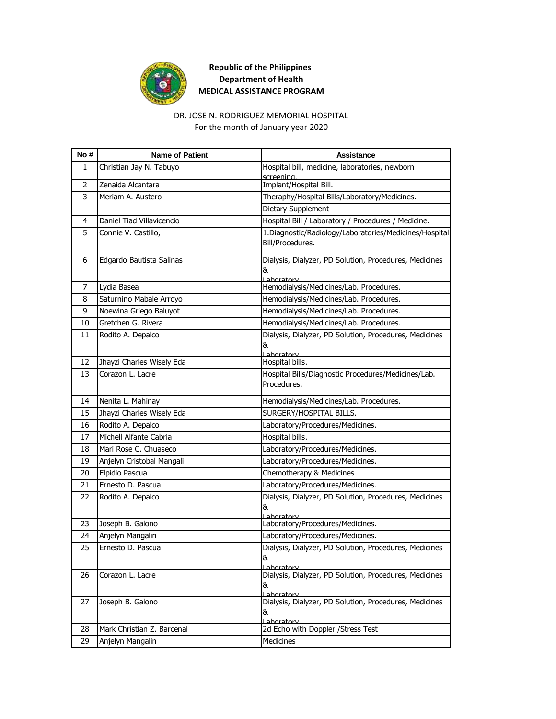

For the month of January year 2020 DR. JOSE N. RODRIGUEZ MEMORIAL HOSPITAL

| No # | <b>Name of Patient</b>     | <b>Assistance</b>                                                    |
|------|----------------------------|----------------------------------------------------------------------|
| 1    | Christian Jay N. Tabuyo    | Hospital bill, medicine, laboratories, newborn                       |
| 2    | Zenaida Alcantara          | screening.<br>Implant/Hospital Bill.                                 |
| 3    | Meriam A. Austero          | Theraphy/Hospital Bills/Laboratory/Medicines.                        |
|      |                            | Dietary Supplement                                                   |
| 4    | Daniel Tiad Villavicencio  | Hospital Bill / Laboratory / Procedures / Medicine.                  |
| 5    | Connie V. Castillo,        | 1. Diagnostic/Radiology/Laboratories/Medicines/Hospital              |
|      |                            | Bill/Procedures.                                                     |
| 6    | Edgardo Bautista Salinas   | Dialysis, Dialyzer, PD Solution, Procedures, Medicines<br>&          |
|      |                            | Laboratory                                                           |
| 7    | Lydia Basea                | Hemodialysis/Medicines/Lab. Procedures.                              |
| 8    | Saturnino Mabale Arroyo    | Hemodialysis/Medicines/Lab. Procedures.                              |
| 9    | Noewina Griego Baluyot     | Hemodialysis/Medicines/Lab. Procedures.                              |
| 10   | Gretchen G. Rivera         | Hemodialysis/Medicines/Lab. Procedures.                              |
| 11   | Rodito A. Depalco          | Dialysis, Dialyzer, PD Solution, Procedures, Medicines               |
|      |                            | &<br>Laboratory                                                      |
| 12   | Jhayzi Charles Wisely Eda  | Hospital bills.                                                      |
| 13   | Corazon L. Lacre           | Hospital Bills/Diagnostic Procedures/Medicines/Lab.                  |
|      |                            | Procedures.                                                          |
| 14   | Nenita L. Mahinay          | Hemodialysis/Medicines/Lab. Procedures.                              |
| 15   | Jhayzi Charles Wisely Eda  | SURGERY/HOSPITAL BILLS.                                              |
| 16   | Rodito A. Depalco          | Laboratory/Procedures/Medicines.                                     |
| 17   | Michell Alfante Cabria     | Hospital bills.                                                      |
| 18   | Mari Rose C. Chuaseco      | Laboratory/Procedures/Medicines.                                     |
| 19   | Anjelyn Cristobal Mangali  | Laboratory/Procedures/Medicines.                                     |
| 20   | Elpidio Pascua             | Chemotherapy & Medicines                                             |
| 21   | Ernesto D. Pascua          | Laboratory/Procedures/Medicines.                                     |
| 22   | Rodito A. Depalco          | Dialysis, Dialyzer, PD Solution, Procedures, Medicines               |
|      |                            | &                                                                    |
| 23   | Joseph B. Galono           | Laboratory<br>Laboratory/Procedures/Medicines.                       |
| 24   | Anjelyn Mangalin           | Laboratory/Procedures/Medicines.                                     |
| 25   | Ernesto D. Pascua          | Dialysis, Dialyzer, PD Solution, Procedures, Medicines               |
|      |                            | ୪୯                                                                   |
| 26   | Corazon L. Lacre           | Lahoratorv<br>Dialysis, Dialyzer, PD Solution, Procedures, Medicines |
|      |                            | &                                                                    |
|      |                            | Laboratory                                                           |
| 27   | Joseph B. Galono           | Dialysis, Dialyzer, PD Solution, Procedures, Medicines<br>&          |
|      |                            | <u>Laboratorv</u>                                                    |
| 28   | Mark Christian Z. Barcenal | 2d Echo with Doppler / Stress Test                                   |
| 29   | Anjelyn Mangalin           | Medicines                                                            |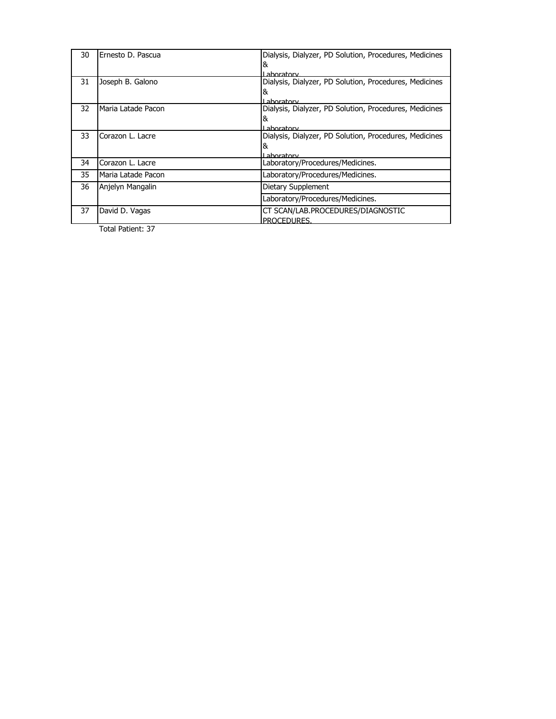| 30 | Ernesto D. Pascua  | Dialysis, Dialyzer, PD Solution, Procedures, Medicines<br>& |
|----|--------------------|-------------------------------------------------------------|
|    |                    | l aboratory                                                 |
| 31 | Joseph B. Galono   | Dialysis, Dialyzer, PD Solution, Procedures, Medicines      |
|    |                    | &                                                           |
|    |                    | Laboratory                                                  |
| 32 | Maria Latade Pacon | Dialysis, Dialyzer, PD Solution, Procedures, Medicines      |
|    |                    | &                                                           |
|    |                    | l aboratory                                                 |
| 33 | Corazon L. Lacre   | Dialysis, Dialyzer, PD Solution, Procedures, Medicines      |
|    |                    | &                                                           |
|    |                    | I ahoratory                                                 |
| 34 | Corazon L. Lacre   | Laboratory/Procedures/Medicines.                            |
| 35 | Maria Latade Pacon | Laboratory/Procedures/Medicines.                            |
| 36 | Anjelyn Mangalin   | Dietary Supplement                                          |
|    |                    | Laboratory/Procedures/Medicines.                            |
| 37 | David D. Vagas     | CT SCAN/LAB.PROCEDURES/DIAGNOSTIC                           |
|    |                    | PROCEDURES                                                  |
|    | Total Patient: 37  |                                                             |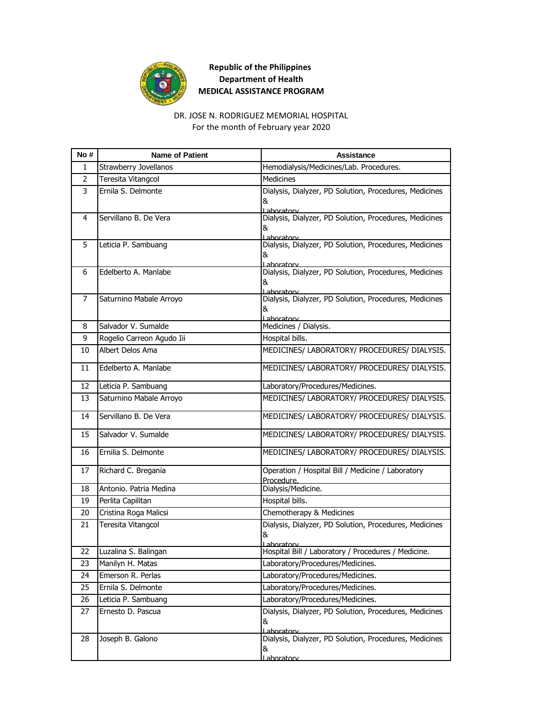

For the month of February year 2020 DR. JOSE N. RODRIGUEZ MEMORIAL HOSPITAL

| No #           | <b>Name of Patient</b>       | <b>Assistance</b>                                                         |
|----------------|------------------------------|---------------------------------------------------------------------------|
| 1              | <b>Strawberry Jovellanos</b> | Hemodialysis/Medicines/Lab. Procedures.                                   |
| $\overline{2}$ | Teresita Vitangcol           | Medicines                                                                 |
| 3              | Ernila S. Delmonte           | Dialysis, Dialyzer, PD Solution, Procedures, Medicines<br>&<br>Laboratory |
| 4              | Servillano B. De Vera        | Dialysis, Dialyzer, PD Solution, Procedures, Medicines<br>&<br>Laboratory |
| 5              | Leticia P. Sambuang          | Dialysis, Dialyzer, PD Solution, Procedures, Medicines<br>&<br>Lahoratory |
| 6              | Edelberto A. Manlabe         | Dialysis, Dialyzer, PD Solution, Procedures, Medicines<br>&<br>Lahoratory |
| 7              | Saturnino Mabale Arroyo      | Dialysis, Dialyzer, PD Solution, Procedures, Medicines<br>&<br>Laboratory |
| 8              | Salvador V. Sumalde          | Medicines / Dialysis.                                                     |
| 9              | Rogelio Carreon Agudo Iii    | Hospital bills.                                                           |
| 10             | Albert Delos Ama             | MEDICINES/ LABORATORY/ PROCEDURES/ DIALYSIS.                              |
| 11             | Edelberto A. Manlabe         | MEDICINES/ LABORATORY/ PROCEDURES/ DIALYSIS.                              |
| 12             | Leticia P. Sambuang          | Laboratory/Procedures/Medicines.                                          |
| 13             | Saturnino Mabale Arroyo      | MEDICINES/ LABORATORY/ PROCEDURES/ DIALYSIS.                              |
| 14             | Servillano B. De Vera        | MEDICINES/ LABORATORY/ PROCEDURES/ DIALYSIS.                              |
| 15             | Salvador V. Sumalde          | MEDICINES/ LABORATORY/ PROCEDURES/ DIALYSIS.                              |
| 16             | Ernilia S. Delmonte          | MEDICINES/ LABORATORY/ PROCEDURES/ DIALYSIS.                              |
| 17             | Richard C. Bregania          | Operation / Hospital Bill / Medicine / Laboratory<br>Procedure.           |
| 18             | Antonio. Patria Medina       | Dialysis/Medicine.                                                        |
| 19             | Perlita Capilitan            | Hospital bills.                                                           |
| 20             | Cristina Roga Malicsi        | Chemotherapy & Medicines                                                  |
| 21             | Teresita Vitangcol           | Dialysis, Dialyzer, PD Solution, Procedures, Medicines<br>&<br>Laboratory |
| 22             | Luzalina S. Balingan         | Hospital Bill / Laboratory / Procedures / Medicine.                       |
| 23             | Manilyn H. Matas             | Laboratory/Procedures/Medicines.                                          |
| 24             | Emerson R. Perlas            | Laboratory/Procedures/Medicines.                                          |
| 25             | Ernila S. Delmonte           | Laboratory/Procedures/Medicines.                                          |
| 26             | Leticia P. Sambuang          | Laboratory/Procedures/Medicines.                                          |
| 27             | Ernesto D. Pascua            | Dialysis, Dialyzer, PD Solution, Procedures, Medicines<br>&<br>Laboratory |
| 28             | Joseph B. Galono             | Dialysis, Dialyzer, PD Solution, Procedures, Medicines<br>&<br>aboratory  |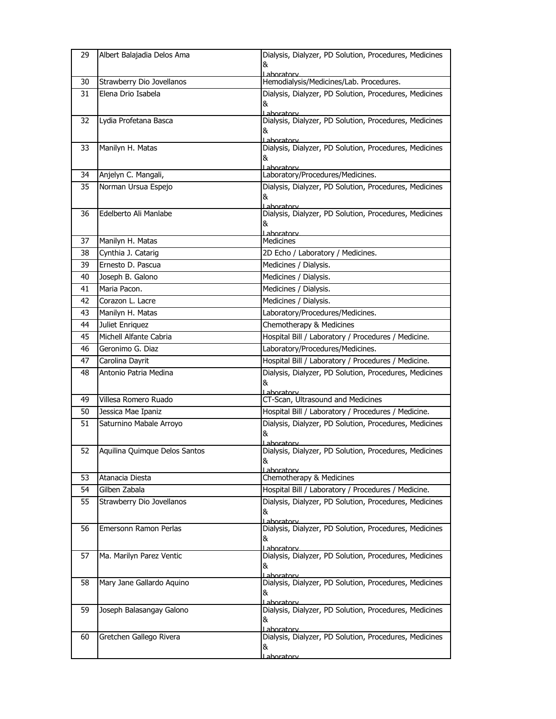| 29 | Albert Balajadia Delos Ama                          | Dialysis, Dialyzer, PD Solution, Procedures, Medicines<br>&                                                                         |
|----|-----------------------------------------------------|-------------------------------------------------------------------------------------------------------------------------------------|
| 30 | Strawberry Dio Jovellanos                           | Laboratory<br>Hemodialysis/Medicines/Lab. Procedures.                                                                               |
| 31 | Elena Drio Isabela                                  | Dialysis, Dialyzer, PD Solution, Procedures, Medicines<br>&<br>Laboratory                                                           |
| 32 | Lydia Profetana Basca                               | Dialysis, Dialyzer, PD Solution, Procedures, Medicines<br>&<br>aboratory                                                            |
| 33 | Manilyn H. Matas                                    | Dialysis, Dialyzer, PD Solution, Procedures, Medicines<br>&<br>Laboratory                                                           |
| 34 | Anjelyn C. Mangali,                                 | Laboratory/Procedures/Medicines.                                                                                                    |
| 35 | Norman Ursua Espejo                                 | Dialysis, Dialyzer, PD Solution, Procedures, Medicines<br>&<br>Laboratory                                                           |
| 36 | Edelberto Ali Manlabe                               | Dialysis, Dialyzer, PD Solution, Procedures, Medicines<br>&<br>Lahoratory                                                           |
| 37 | Manilyn H. Matas                                    | <b>Medicines</b>                                                                                                                    |
| 38 | Cynthia J. Catarig                                  | 2D Echo / Laboratory / Medicines.                                                                                                   |
| 39 | Ernesto D. Pascua                                   | Medicines / Dialysis.                                                                                                               |
| 40 | Joseph B. Galono                                    | Medicines / Dialysis.                                                                                                               |
| 41 | Maria Pacon.                                        | Medicines / Dialysis.                                                                                                               |
| 42 | Corazon L. Lacre                                    | Medicines / Dialysis.                                                                                                               |
| 43 | Manilyn H. Matas                                    | Laboratory/Procedures/Medicines.                                                                                                    |
| 44 | Juliet Enriquez                                     | Chemotherapy & Medicines                                                                                                            |
| 45 | Michell Alfante Cabria                              | Hospital Bill / Laboratory / Procedures / Medicine.                                                                                 |
| 46 | Geronimo G. Diaz                                    | Laboratory/Procedures/Medicines.                                                                                                    |
| 47 | Carolina Dayrit                                     | Hospital Bill / Laboratory / Procedures / Medicine.                                                                                 |
|    |                                                     |                                                                                                                                     |
| 48 | Antonio Patria Medina                               | Dialysis, Dialyzer, PD Solution, Procedures, Medicines<br>&<br>Laboratory                                                           |
| 49 | Villesa Romero Ruado                                | CT-Scan, Ultrasound and Medicines                                                                                                   |
| 50 | Jessica Mae Ipaniz                                  | Hospital Bill / Laboratory / Procedures / Medicine.                                                                                 |
| 51 | Saturnino Mabale Arroyo                             | Dialysis, Dialyzer, PD Solution, Procedures, Medicines<br>&                                                                         |
| 52 | Aquilina Quimque Delos Santos                       | ahoratory<br>Dialysis, Dialyzer, PD Solution, Procedures, Medicines<br>&                                                            |
| 53 | Atanacia Diesta                                     | <u>Laboratorv</u><br>Chemotherapy & Medicines                                                                                       |
| 54 | Gilben Zabala                                       | Hospital Bill / Laboratory / Procedures / Medicine.                                                                                 |
| 55 | Strawberry Dio Jovellanos                           | Dialysis, Dialyzer, PD Solution, Procedures, Medicines<br>&                                                                         |
| 56 | Emersonn Ramon Perlas                               | Laboratory<br>Dialysis, Dialyzer, PD Solution, Procedures, Medicines<br>&                                                           |
| 57 | Ma. Marilyn Parez Ventic                            | <u>Laboratorv</u><br>Dialysis, Dialyzer, PD Solution, Procedures, Medicines<br>&<br>Laboratory                                      |
| 58 | Mary Jane Gallardo Aquino                           | Dialysis, Dialyzer, PD Solution, Procedures, Medicines<br>&<br>Laboratory                                                           |
| 59 | Joseph Balasangay Galono<br>Gretchen Gallego Rivera | Dialysis, Dialyzer, PD Solution, Procedures, Medicines<br>&<br>Laboratory<br>Dialysis, Dialyzer, PD Solution, Procedures, Medicines |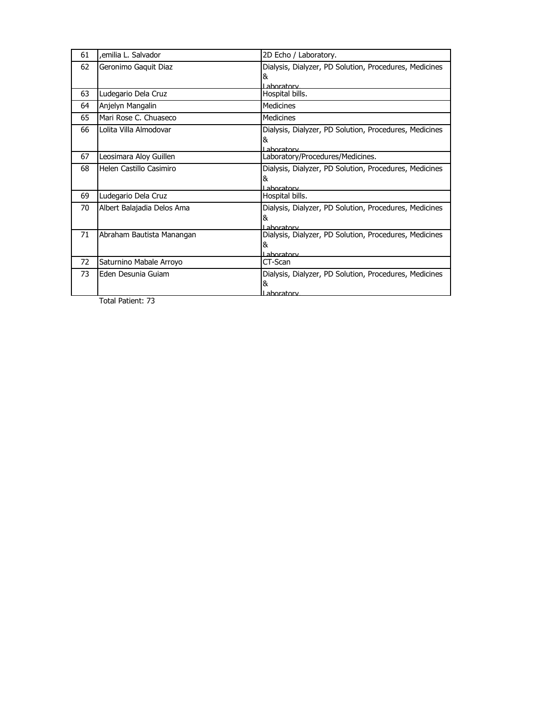| 61 | emilia L. Salvador,        | 2D Echo / Laboratory.                                  |
|----|----------------------------|--------------------------------------------------------|
| 62 | Geronimo Gaquit Diaz       | Dialysis, Dialyzer, PD Solution, Procedures, Medicines |
|    |                            | &                                                      |
|    |                            | Laboratory                                             |
| 63 | Ludegario Dela Cruz        | Hospital bills.                                        |
| 64 | Anjelyn Mangalin           | <b>Medicines</b>                                       |
| 65 | Mari Rose C. Chuaseco      | <b>Medicines</b>                                       |
| 66 | Lolita Villa Almodovar     | Dialysis, Dialyzer, PD Solution, Procedures, Medicines |
|    |                            | &                                                      |
|    |                            | I aboratory                                            |
| 67 | Leosimara Aloy Guillen     | Laboratory/Procedures/Medicines.                       |
| 68 | Helen Castillo Casimiro    | Dialysis, Dialyzer, PD Solution, Procedures, Medicines |
|    |                            | &                                                      |
|    |                            | I aboratory                                            |
| 69 | Ludegario Dela Cruz        | Hospital bills.                                        |
| 70 | Albert Balajadia Delos Ama | Dialysis, Dialyzer, PD Solution, Procedures, Medicines |
|    |                            | &                                                      |
|    |                            | I aboratory                                            |
| 71 | Abraham Bautista Manangan  | Dialysis, Dialyzer, PD Solution, Procedures, Medicines |
|    |                            | &                                                      |
|    |                            | Laboratory                                             |
| 72 | Saturnino Mabale Arroyo    | CT-Scan                                                |
| 73 | Eden Desunia Guiam         | Dialysis, Dialyzer, PD Solution, Procedures, Medicines |
|    |                            | &                                                      |
|    |                            | Laboratory                                             |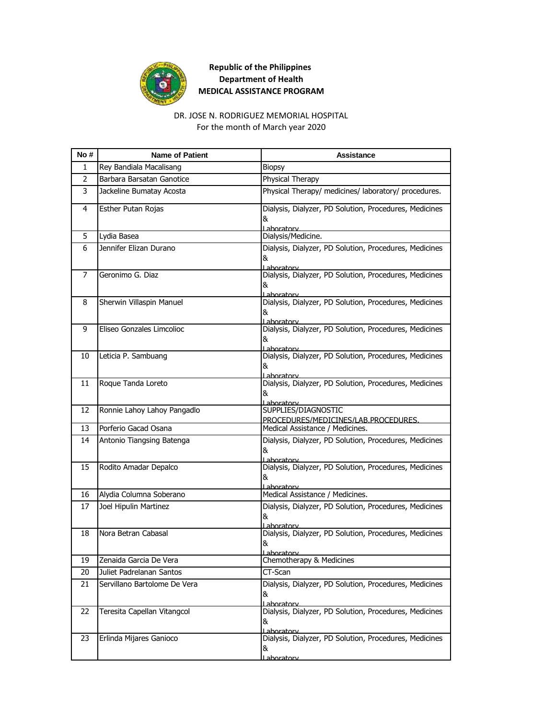

#### For the month of March year 2020 DR. JOSE N. RODRIGUEZ MEMORIAL HOSPITAL

| No#            | <b>Name of Patient</b>       | Assistance                                                                        |
|----------------|------------------------------|-----------------------------------------------------------------------------------|
| 1              | Rey Bandiala Macalisang      | <b>Biopsy</b>                                                                     |
| $\overline{2}$ | Barbara Barsatan Ganotice    | Physical Therapy                                                                  |
| 3              | Jackeline Bumatay Acosta     | Physical Therapy/ medicines/ laboratory/ procedures.                              |
| 4              | Esther Putan Rojas           | Dialysis, Dialyzer, PD Solution, Procedures, Medicines<br>&<br>Laboratory         |
| 5              | Lydia Basea                  | Dialysis/Medicine.                                                                |
| 6              | Jennifer Elizan Durano       | Dialysis, Dialyzer, PD Solution, Procedures, Medicines<br>&<br>Lahoratory         |
| 7              | Geronimo G. Diaz             | Dialysis, Dialyzer, PD Solution, Procedures, Medicines<br>&<br>Lahoratory         |
| 8              | Sherwin Villaspin Manuel     | Dialysis, Dialyzer, PD Solution, Procedures, Medicines<br>&<br><u>l aboratory</u> |
| 9              | Eliseo Gonzales Limcolioc    | Dialysis, Dialyzer, PD Solution, Procedures, Medicines<br>&<br>Laboratory         |
| 10             | Leticia P. Sambuang          | Dialysis, Dialyzer, PD Solution, Procedures, Medicines<br>&<br>I aboratory        |
| 11             | Roque Tanda Loreto           | Dialysis, Dialyzer, PD Solution, Procedures, Medicines<br>&<br>Laboratory         |
| 12             | Ronnie Lahoy Lahoy Pangadlo  | SUPPLIES/DIAGNOSTIC<br>PROCEDURES/MEDICINES/LAB.PROCEDURES.                       |
| 13             | Porferio Gacad Osana         | Medical Assistance / Medicines.                                                   |
| 14             | Antonio Tiangsing Batenga    | Dialysis, Dialyzer, PD Solution, Procedures, Medicines<br>&<br>Laboratory         |
| 15             | Rodito Amadar Depalco        | Dialysis, Dialyzer, PD Solution, Procedures, Medicines<br>&<br>Lahoratory         |
| 16             | Alydia Columna Soberano      | Medical Assistance / Medicines.                                                   |
| 17             | Joel Hipulin Martinez        | Dialysis, Dialyzer, PD Solution, Procedures, Medicines<br>&<br>Laboratory         |
| 18             | Nora Betran Cabasal          | Dialysis, Dialyzer, PD Solution, Procedures, Medicines<br>&<br><u>Laboratorv</u>  |
| 19             | Zenaida Garcia De Vera       | Chemotherapy & Medicines                                                          |
| 20             | Juliet Padrelanan Santos     | CT-Scan                                                                           |
| 21             | Servillano Bartolome De Vera | Dialysis, Dialyzer, PD Solution, Procedures, Medicines<br>&<br>Laboratory         |
| 22             | Teresita Capellan Vitangcol  | Dialysis, Dialyzer, PD Solution, Procedures, Medicines<br>&<br>Laboratory         |
| 23             | Erlinda Mijares Ganioco      | Dialysis, Dialyzer, PD Solution, Procedures, Medicines<br>&<br><u>Lahoratorv</u>  |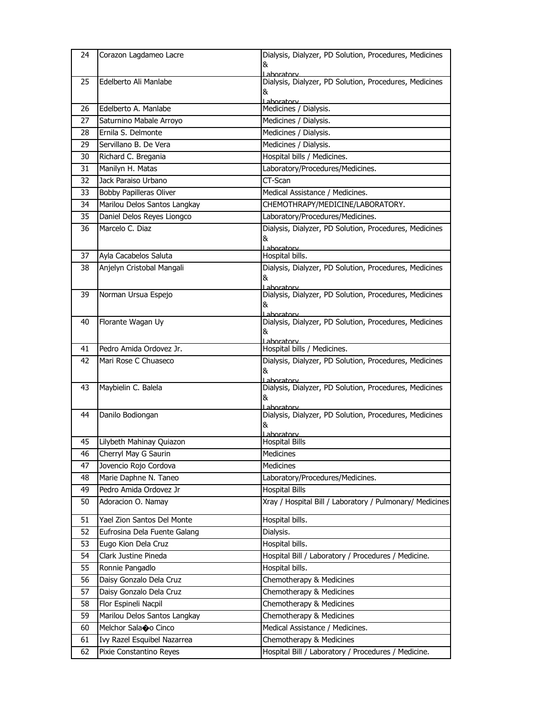| 24 | Corazon Lagdameo Lacre       | Dialysis, Dialyzer, PD Solution, Procedures, Medicines               |
|----|------------------------------|----------------------------------------------------------------------|
|    |                              | &                                                                    |
| 25 | Edelberto Ali Manlabe        | Laboratory<br>Dialysis, Dialyzer, PD Solution, Procedures, Medicines |
|    |                              | &                                                                    |
|    |                              | Laboratory                                                           |
| 26 | Edelberto A. Manlabe         | Medicines / Dialysis.                                                |
| 27 | Saturnino Mabale Arroyo      | Medicines / Dialysis.                                                |
| 28 | Ernila S. Delmonte           | Medicines / Dialysis.                                                |
| 29 | Servillano B. De Vera        | Medicines / Dialysis.                                                |
| 30 | Richard C. Bregania          | Hospital bills / Medicines.                                          |
| 31 | Manilyn H. Matas             | Laboratory/Procedures/Medicines.                                     |
| 32 | Jack Paraiso Urbano          | CT-Scan                                                              |
| 33 | Bobby Papilleras Oliver      | Medical Assistance / Medicines.                                      |
| 34 | Marilou Delos Santos Langkay | CHEMOTHRAPY/MEDICINE/LABORATORY.                                     |
| 35 | Daniel Delos Reyes Liongco   | Laboratory/Procedures/Medicines.                                     |
| 36 | Marcelo C. Diaz              | Dialysis, Dialyzer, PD Solution, Procedures, Medicines               |
|    |                              | &                                                                    |
| 37 | Ayla Cacabelos Saluta        | Laboratory<br>Hospital bills.                                        |
| 38 | Anjelyn Cristobal Mangali    | Dialysis, Dialyzer, PD Solution, Procedures, Medicines               |
|    |                              | &                                                                    |
|    |                              | l aboratory                                                          |
| 39 | Norman Ursua Espejo          | Dialysis, Dialyzer, PD Solution, Procedures, Medicines               |
|    |                              | &<br>Laboratory                                                      |
| 40 | Florante Wagan Uy            | Dialysis, Dialyzer, PD Solution, Procedures, Medicines               |
|    |                              | &                                                                    |
| 41 | Pedro Amida Ordovez Jr.      | l aboratory<br>Hospital bills / Medicines.                           |
| 42 | Mari Rose C Chuaseco         | Dialysis, Dialyzer, PD Solution, Procedures, Medicines               |
|    |                              | &                                                                    |
|    |                              | Laboratory                                                           |
| 43 | Maybielin C. Balela          | Dialysis, Dialyzer, PD Solution, Procedures, Medicines               |
|    |                              | &<br>l ahoratory                                                     |
| 44 | Danilo Bodiongan             | Dialysis, Dialyzer, PD Solution, Procedures, Medicines               |
|    |                              | &                                                                    |
| 45 | Lilybeth Mahinay Quiazon     | Laboratory<br><b>Hospital Bills</b>                                  |
| 46 | Cherryl May G Saurin         | Medicines                                                            |
| 47 | Jovencio Rojo Cordova        | Medicines                                                            |
| 48 | Marie Daphne N. Taneo        | Laboratory/Procedures/Medicines.                                     |
| 49 | Pedro Amida Ordovez Jr       | <b>Hospital Bills</b>                                                |
| 50 | Adoracion O. Namay           | Xray / Hospital Bill / Laboratory / Pulmonary/ Medicines             |
|    |                              |                                                                      |
| 51 | Yael Zion Santos Del Monte   | Hospital bills.                                                      |
| 52 | Eufrosina Dela Fuente Galang | Dialysis.                                                            |
| 53 | Eugo Kion Dela Cruz          | Hospital bills.                                                      |
| 54 | Clark Justine Pineda         | Hospital Bill / Laboratory / Procedures / Medicine.                  |
| 55 | Ronnie Pangadlo              | Hospital bills.                                                      |
| 56 | Daisy Gonzalo Dela Cruz      | Chemotherapy & Medicines                                             |
| 57 | Daisy Gonzalo Dela Cruz      | Chemotherapy & Medicines                                             |
| 58 | Flor Espineli Nacpil         | Chemotherapy & Medicines                                             |
| 59 | Marilou Delos Santos Langkay | Chemotherapy & Medicines                                             |
| 60 | Melchor Salaoo Cinco         | Medical Assistance / Medicines.                                      |
| 61 | Ivy Razel Esquibel Nazarrea  | Chemotherapy & Medicines                                             |
| 62 | Pixie Constantino Reyes      | Hospital Bill / Laboratory / Procedures / Medicine.                  |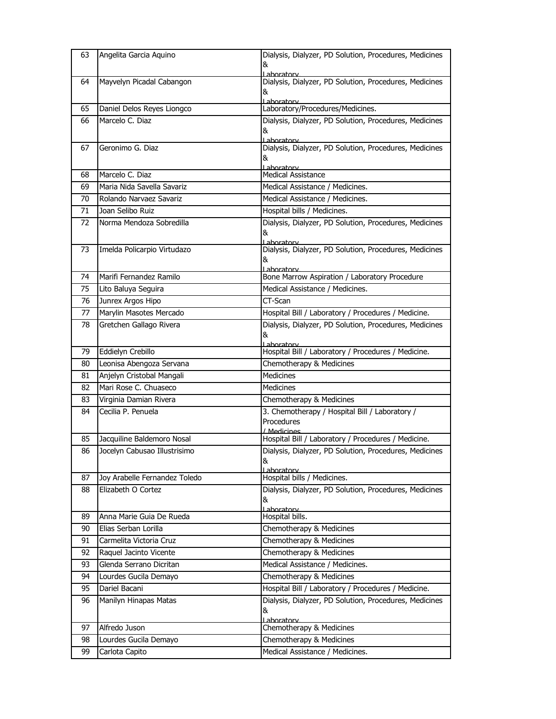| 63 | Angelita Garcia Aquino        | Dialysis, Dialyzer, PD Solution, Procedures, Medicines                |
|----|-------------------------------|-----------------------------------------------------------------------|
|    |                               | &                                                                     |
| 64 | Mayvelyn Picadal Cabangon     | I aboratory<br>Dialysis, Dialyzer, PD Solution, Procedures, Medicines |
|    |                               | &                                                                     |
|    |                               | Laboratory                                                            |
| 65 | Daniel Delos Reyes Liongco    | Laboratory/Procedures/Medicines.                                      |
| 66 | Marcelo C. Diaz               | Dialysis, Dialyzer, PD Solution, Procedures, Medicines                |
|    |                               | &<br>I aboratory                                                      |
| 67 | Geronimo G. Diaz              | Dialysis, Dialyzer, PD Solution, Procedures, Medicines                |
|    |                               | &                                                                     |
| 68 | Marcelo C. Diaz               | Laboratory<br>Medical Assistance                                      |
| 69 | Maria Nida Savella Savariz    | Medical Assistance / Medicines.                                       |
| 70 | Rolando Narvaez Savariz       | Medical Assistance / Medicines.                                       |
| 71 | Joan Selibo Ruiz              | Hospital bills / Medicines.                                           |
| 72 | Norma Mendoza Sobredilla      | Dialysis, Dialyzer, PD Solution, Procedures, Medicines                |
|    |                               | &                                                                     |
|    |                               | Laboratory                                                            |
| 73 | Imelda Policarpio Virtudazo   | Dialysis, Dialyzer, PD Solution, Procedures, Medicines                |
|    |                               | &<br>Laboratory                                                       |
| 74 | Marifi Fernandez Ramilo       | Bone Marrow Aspiration / Laboratory Procedure                         |
| 75 | Lito Baluya Seguira           | Medical Assistance / Medicines.                                       |
| 76 | Junrex Argos Hipo             | CT-Scan                                                               |
| 77 | Marylin Masotes Mercado       | Hospital Bill / Laboratory / Procedures / Medicine.                   |
| 78 | Gretchen Gallago Rivera       | Dialysis, Dialyzer, PD Solution, Procedures, Medicines                |
|    |                               | &                                                                     |
| 79 | Eddielyn Crebillo             | Laboratory<br>Hospital Bill / Laboratory / Procedures / Medicine.     |
| 80 | Leonisa Abengoza Servana      | Chemotherapy & Medicines                                              |
| 81 | Anjelyn Cristobal Mangali     | Medicines                                                             |
| 82 | Mari Rose C. Chuaseco         | Medicines                                                             |
| 83 | Virginia Damian Rivera        | Chemotherapy & Medicines                                              |
| 84 | Cecilia P. Penuela            | 3. Chemotherapy / Hospital Bill / Laboratory /                        |
|    |                               | Procedures                                                            |
|    |                               | / Medicines                                                           |
| 85 | Jacquiline Baldemoro Nosal    | Hospital Bill / Laboratory / Procedures / Medicine.                   |
| 86 | Jocelyn Cabusao Illustrisimo  | Dialysis, Dialyzer, PD Solution, Procedures, Medicines<br>&           |
|    |                               | Laboratory                                                            |
| 87 | Joy Arabelle Fernandez Toledo | Hospital bills / Medicines.                                           |
| 88 | Elizabeth O Cortez            | Dialysis, Dialyzer, PD Solution, Procedures, Medicines                |
|    |                               | &                                                                     |
| 89 | Anna Marie Guia De Rueda      | Lahoratory<br>Hospital bills.                                         |
| 90 | Elias Serban Lorilla          | Chemotherapy & Medicines                                              |
| 91 | Carmelita Victoria Cruz       | Chemotherapy & Medicines                                              |
| 92 | Raquel Jacinto Vicente        | Chemotherapy & Medicines                                              |
| 93 | Glenda Serrano Dicritan       | Medical Assistance / Medicines.                                       |
| 94 | Lourdes Gucila Demayo         | Chemotherapy & Medicines                                              |
| 95 | Dariel Bacani                 | Hospital Bill / Laboratory / Procedures / Medicine.                   |
| 96 | Manilyn Hinapas Matas         | Dialysis, Dialyzer, PD Solution, Procedures, Medicines                |
|    |                               | &                                                                     |
|    |                               | Laboratory                                                            |
| 97 | Alfredo Juson                 | Chemotherapy & Medicines                                              |
| 98 | Lourdes Gucila Demayo         | Chemotherapy & Medicines                                              |
| 99 | Carlota Capito                | Medical Assistance / Medicines.                                       |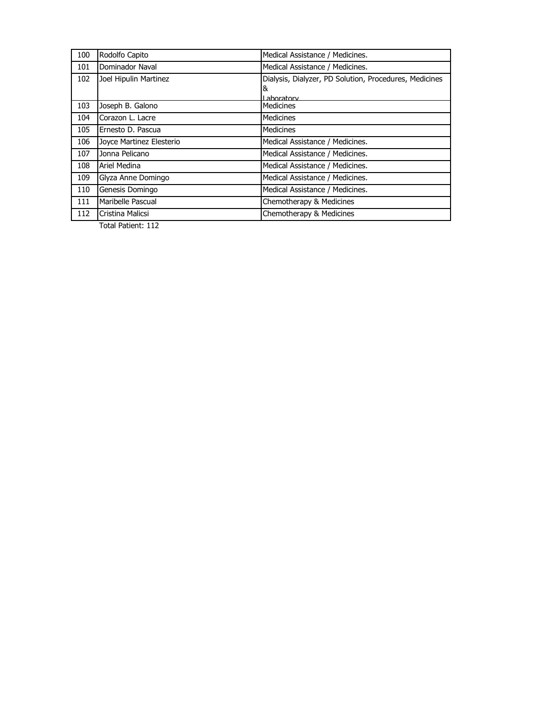| 100 | Rodolfo Capito           | Medical Assistance / Medicines.                        |
|-----|--------------------------|--------------------------------------------------------|
| 101 | Dominador Naval          | Medical Assistance / Medicines.                        |
| 102 | Joel Hipulin Martinez    | Dialysis, Dialyzer, PD Solution, Procedures, Medicines |
|     |                          | &                                                      |
|     |                          | Laboratory                                             |
| 103 | Joseph B. Galono         | <b>Medicines</b>                                       |
| 104 | Corazon L. Lacre         | <b>Medicines</b>                                       |
| 105 | Ernesto D. Pascua        | <b>Medicines</b>                                       |
| 106 | Joyce Martinez Elesterio | Medical Assistance / Medicines.                        |
| 107 | Jonna Pelicano           | Medical Assistance / Medicines.                        |
| 108 | Ariel Medina             | Medical Assistance / Medicines.                        |
| 109 | Glyza Anne Domingo       | Medical Assistance / Medicines.                        |
| 110 | Genesis Domingo          | Medical Assistance / Medicines.                        |
| 111 | Maribelle Pascual        | Chemotherapy & Medicines                               |
| 112 | Cristina Malicsi         | Chemotherapy & Medicines                               |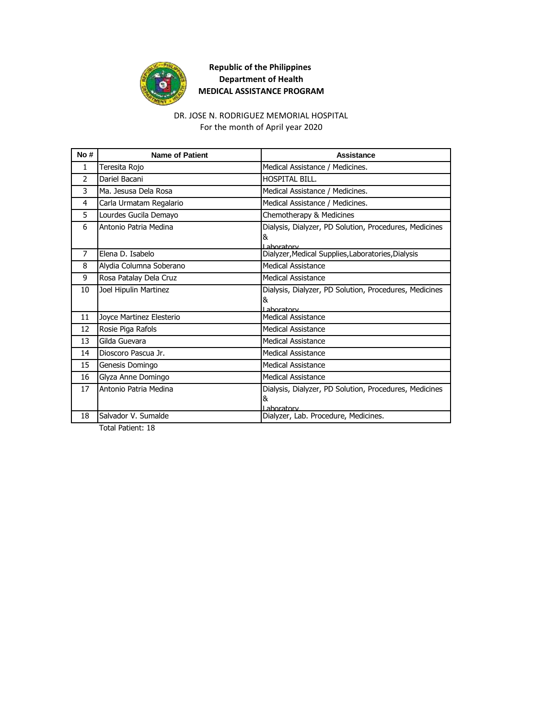

#### For the month of April year 2020 DR. JOSE N. RODRIGUEZ MEMORIAL HOSPITAL

| No#            | <b>Name of Patient</b>   | Assistance                                                  |
|----------------|--------------------------|-------------------------------------------------------------|
| $\mathbf{1}$   | Teresita Rojo            | Medical Assistance / Medicines.                             |
| $\mathcal{P}$  | Dariel Bacani            | HOSPITAL BILL.                                              |
| 3              | Ma. Jesusa Dela Rosa     | Medical Assistance / Medicines.                             |
| 4              | Carla Urmatam Regalario  | Medical Assistance / Medicines.                             |
| 5.             | Lourdes Gucila Demayo    | Chemotherapy & Medicines                                    |
| 6              | Antonio Patria Medina    | Dialysis, Dialyzer, PD Solution, Procedures, Medicines<br>& |
|                |                          | Laboratory                                                  |
| $\overline{7}$ | Flena D. Isabelo         | Dialyzer, Medical Supplies, Laboratories, Dialysis          |
| 8              | Alydia Columna Soberano  | Medical Assistance                                          |
| 9              | Rosa Patalay Dela Cruz   | <b>Medical Assistance</b>                                   |
| 10             | Joel Hipulin Martinez    | Dialysis, Dialyzer, PD Solution, Procedures, Medicines<br>& |
|                |                          | Laboratory                                                  |
| 11             | Joyce Martinez Elesterio | <b>Medical Assistance</b>                                   |
| 12             | Rosie Piga Rafols        | <b>Medical Assistance</b>                                   |
| 13             | Gilda Guevara            | <b>Medical Assistance</b>                                   |
| 14             | Dioscoro Pascua Jr.      | Medical Assistance                                          |
| 15             | Genesis Domingo          | <b>Medical Assistance</b>                                   |
| 16             | Glyza Anne Domingo       | <b>Medical Assistance</b>                                   |
| 17             | Antonio Patria Medina    | Dialysis, Dialyzer, PD Solution, Procedures, Medicines      |
|                |                          | 8                                                           |
| 18             | Salvador V. Sumalde      | I aboratory<br>Dialyzer, Lab. Procedure, Medicines.         |
|                |                          |                                                             |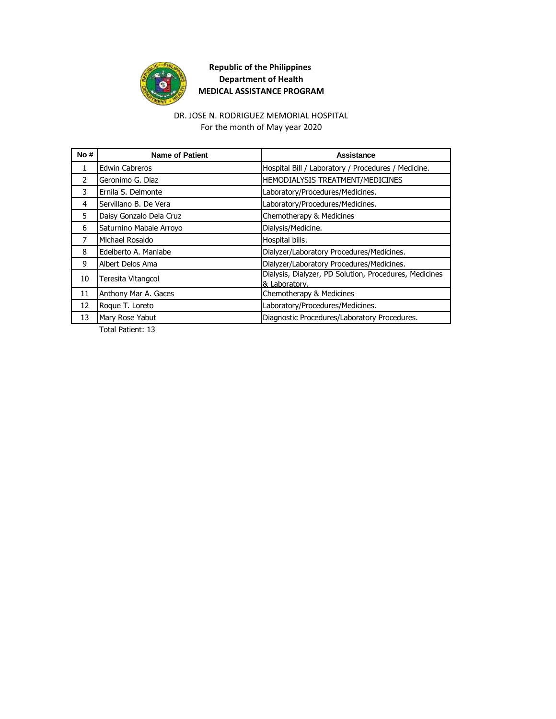

#### For the month of May year 2020 DR. JOSE N. RODRIGUEZ MEMORIAL HOSPITAL

| No#           | <b>Name of Patient</b>  | Assistance                                                              |
|---------------|-------------------------|-------------------------------------------------------------------------|
| 1             | <b>Edwin Cabreros</b>   | Hospital Bill / Laboratory / Procedures / Medicine.                     |
| $\mathcal{P}$ | Geronimo G. Diaz        | HEMODIALYSIS TREATMENT/MEDICINES                                        |
| 3             | Ernila S. Delmonte      | Laboratory/Procedures/Medicines.                                        |
| 4             | Servillano B. De Vera   | Laboratory/Procedures/Medicines.                                        |
| 5             | Daisy Gonzalo Dela Cruz | Chemotherapy & Medicines                                                |
| 6             | Saturnino Mabale Arroyo | Dialysis/Medicine.                                                      |
| 7             | Michael Rosaldo         | Hospital bills.                                                         |
| 8             | Edelberto A. Manlabe    | Dialyzer/Laboratory Procedures/Medicines.                               |
| 9             | Albert Delos Ama        | Dialyzer/Laboratory Procedures/Medicines.                               |
| 10            | Teresita Vitangcol      | Dialysis, Dialyzer, PD Solution, Procedures, Medicines<br>& Laboratory. |
| 11            | Anthony Mar A. Gaces    | Chemotherapy & Medicines                                                |
| 12            | Roque T. Loreto         | Laboratory/Procedures/Medicines.                                        |
| 13            | Mary Rose Yabut         | Diagnostic Procedures/Laboratory Procedures.                            |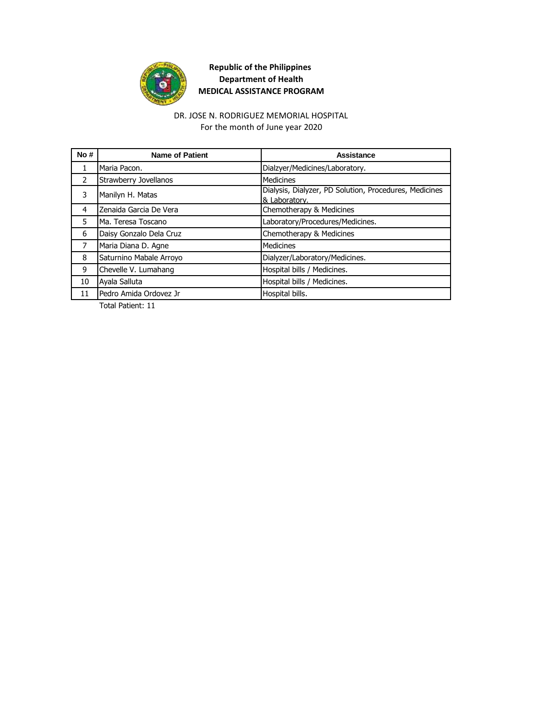

DR. JOSE N. RODRIGUEZ MEMORIAL HOSPITAL For the month of June year 2020

| No#            | <b>Name of Patient</b>  | Assistance                                                              |
|----------------|-------------------------|-------------------------------------------------------------------------|
| $\mathbf{1}$   | Maria Pacon.            | Dialzyer/Medicines/Laboratory.                                          |
| $\mathcal{P}$  | Strawberry Jovellanos   | <b>Medicines</b>                                                        |
| 3              | Manilyn H. Matas        | Dialysis, Dialyzer, PD Solution, Procedures, Medicines<br>& Laboratory. |
| 4              | Zenaida Garcia De Vera  | Chemotherapy & Medicines                                                |
| 5              | Ma. Teresa Toscano      | Laboratory/Procedures/Medicines.                                        |
| 6              | Daisy Gonzalo Dela Cruz | Chemotherapy & Medicines                                                |
| $\overline{7}$ | Maria Diana D. Agne     | Medicines                                                               |
| 8              | Saturnino Mabale Arroyo | Dialyzer/Laboratory/Medicines.                                          |
| 9              | Chevelle V. Lumahang    | Hospital bills / Medicines.                                             |
| 10             | Ayala Salluta           | Hospital bills / Medicines.                                             |
| 11             | Pedro Amida Ordovez Jr  | Hospital bills.                                                         |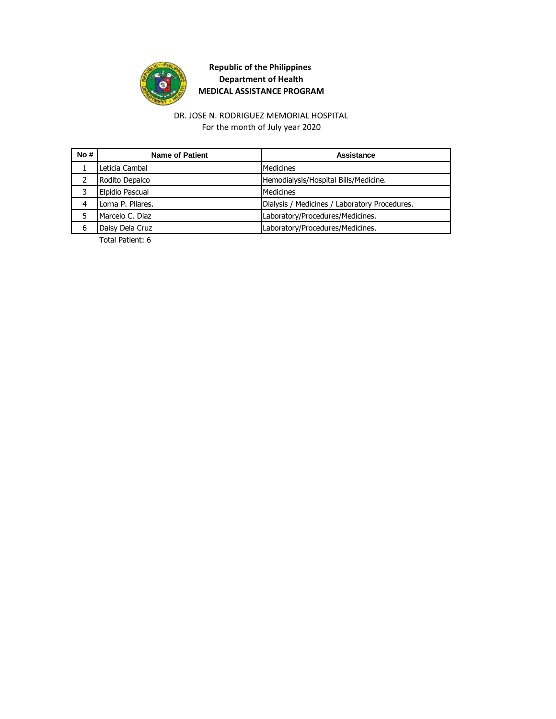

DR. JOSE N. RODRIGUEZ MEMORIAL HOSPITAL For the month of July year 2020

| No# | <b>Name of Patient</b> | Assistance                                    |
|-----|------------------------|-----------------------------------------------|
|     | Leticia Cambal         | Medicines                                     |
|     | Rodito Depalco         | Hemodialysis/Hospital Bills/Medicine.         |
|     | Elpidio Pascual        | <b>Medicines</b>                              |
| 4   | Lorna P. Pilares.      | Dialysis / Medicines / Laboratory Procedures. |
|     | Marcelo C. Diaz        | Laboratory/Procedures/Medicines.              |
| 6   | Daisy Dela Cruz        | Laboratory/Procedures/Medicines.              |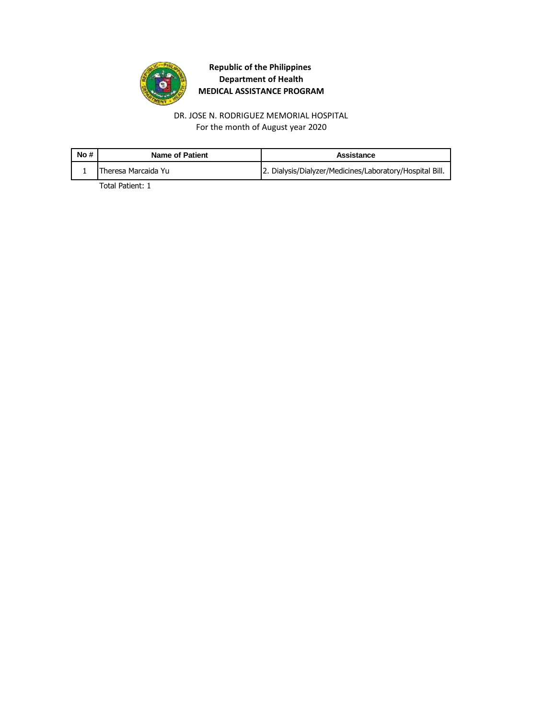

DR. JOSE N. RODRIGUEZ MEMORIAL HOSPITAL For the month of August year 2020

| No# | Name of Patient     | Assistance                                               |
|-----|---------------------|----------------------------------------------------------|
|     | Theresa Marcaida Yu | 2. Dialysis/Dialyzer/Medicines/Laboratory/Hospital Bill. |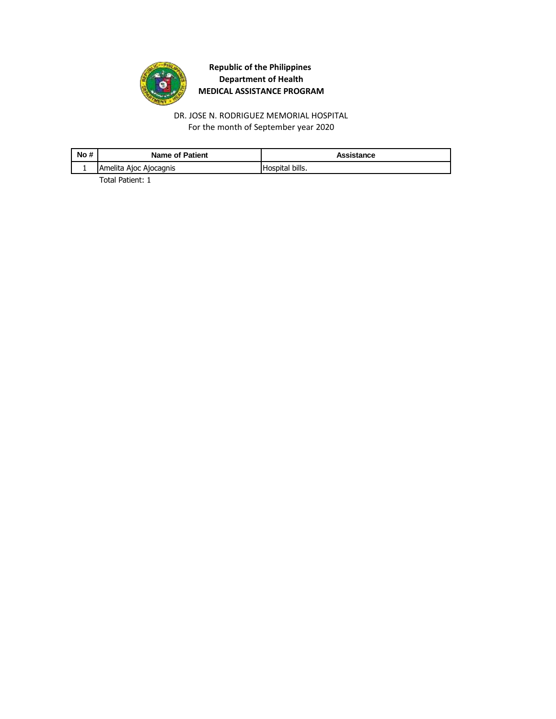

DR. JOSE N. RODRIGUEZ MEMORIAL HOSPITAL For the month of September year 2020

| No # | Name of Patient        | Assistance      |
|------|------------------------|-----------------|
|      | Amelita Ajoc Ajocagnis | Hospital bills. |